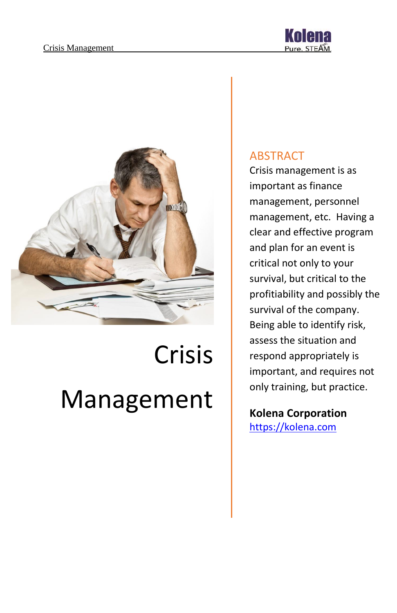

# Crisis Management

#### ABSTRACT

Crisis management is as important as finance management, personnel management, etc. Having a clear and effective program and plan for an event is critical not only to your survival, but critical to the profitiability and possibly the survival of the company. Being able to identify risk, assess the situation and respond appropriately is important, and requires not only training, but practice.

**Kolena Corporation** [https://kolena.com](https://kolena.com/)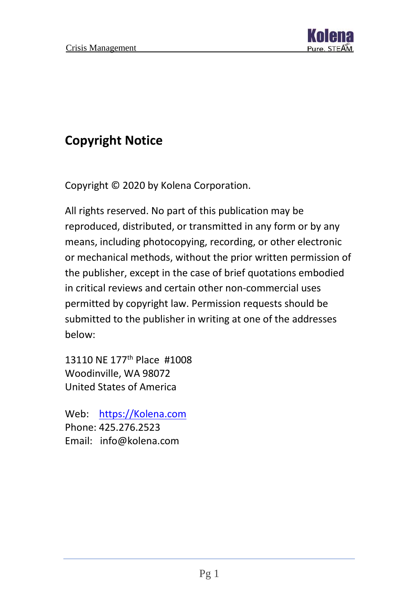

# **Copyright Notice**

Copyright © 2020 by Kolena Corporation.

All rights reserved. No part of this publication may be reproduced, distributed, or transmitted in any form or by any means, including photocopying, recording, or other electronic or mechanical methods, without the prior written permission of the publisher, except in the case of brief quotations embodied in critical reviews and certain other non-commercial uses permitted by copyright law. Permission requests should be submitted to the publisher in writing at one of the addresses below:

13110 NE 177th Place #1008 Woodinville, WA 98072 United States of America

Web: [https://Kolena.com](https://kolena.com/) Phone: 425.276.2523 Email: info@kolena.com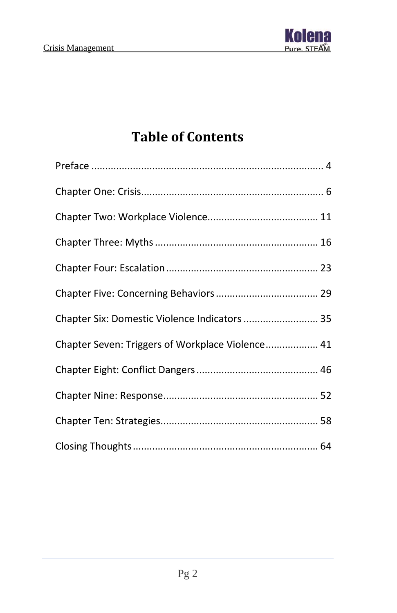

# **Table of Contents**

| Chapter Six: Domestic Violence Indicators  35    |  |
|--------------------------------------------------|--|
| Chapter Seven: Triggers of Workplace Violence 41 |  |
|                                                  |  |
|                                                  |  |
|                                                  |  |
|                                                  |  |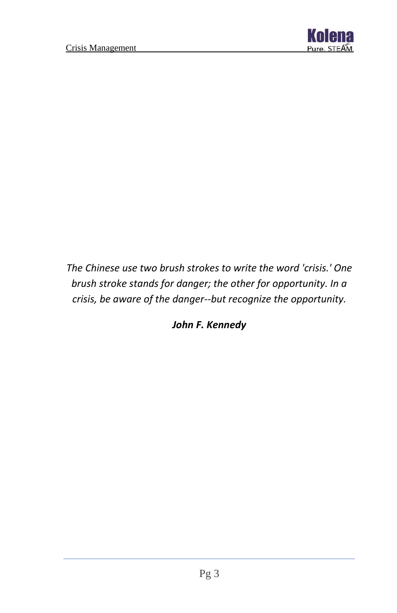

*The Chinese use two brush strokes to write the word 'crisis.' One brush stroke stands for danger; the other for opportunity. In a crisis, be aware of the danger--but recognize the opportunity.*

*John F. Kennedy*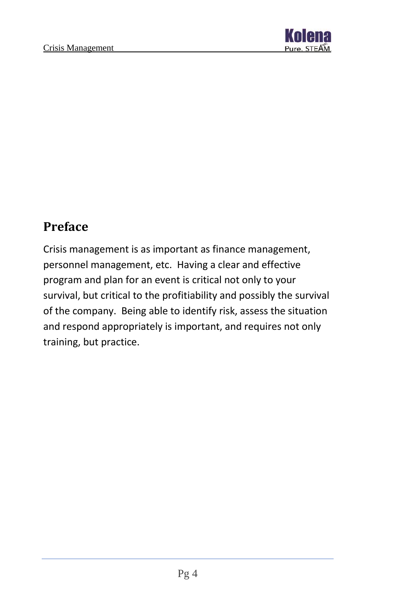

## <span id="page-4-0"></span>**Preface**

Crisis management is as important as finance management, personnel management, etc. Having a clear and effective program and plan for an event is critical not only to your survival, but critical to the profitiability and possibly the survival of the company. Being able to identify risk, assess the situation and respond appropriately is important, and requires not only training, but practice.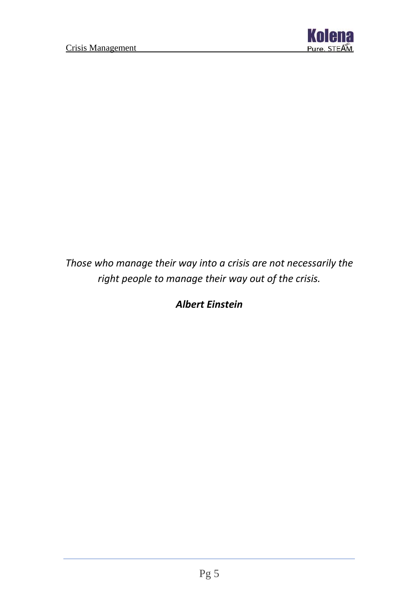

### *Those who manage their way into a crisis are not necessarily the right people to manage their way out of the crisis.*

#### *Albert Einstein*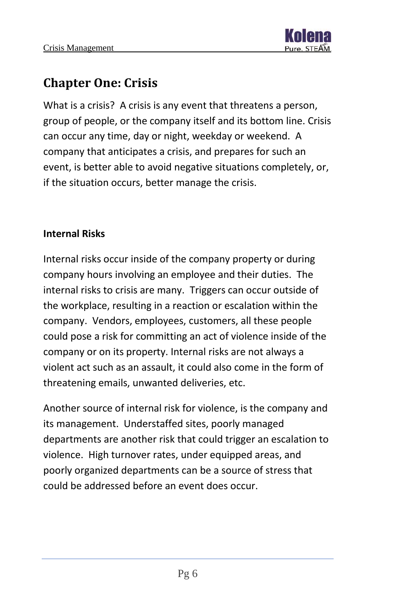# <span id="page-6-0"></span>**Chapter One: Crisis**

What is a crisis? A crisis is any event that threatens a person, group of people, or the company itself and its bottom line. Crisis can occur any time, day or night, weekday or weekend. A company that anticipates a crisis, and prepares for such an event, is better able to avoid negative situations completely, or, if the situation occurs, better manage the crisis.

#### **Internal Risks**

Internal risks occur inside of the company property or during company hours involving an employee and their duties. The internal risks to crisis are many. Triggers can occur outside of the workplace, resulting in a reaction or escalation within the company. Vendors, employees, customers, all these people could pose a risk for committing an act of violence inside of the company or on its property. Internal risks are not always a violent act such as an assault, it could also come in the form of threatening emails, unwanted deliveries, etc.

Another source of internal risk for violence, is the company and its management. Understaffed sites, poorly managed departments are another risk that could trigger an escalation to violence. High turnover rates, under equipped areas, and poorly organized departments can be a source of stress that could be addressed before an event does occur.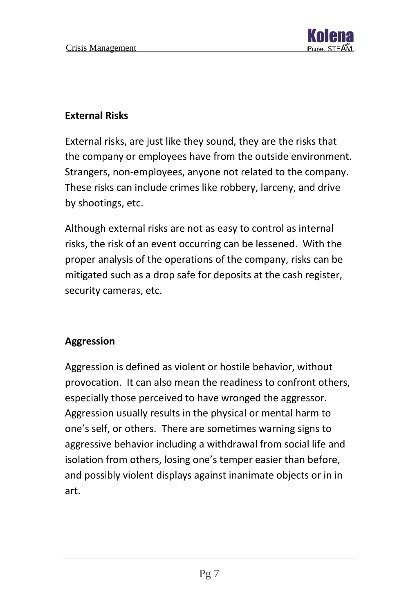

#### **External Risks**

External risks, are just like they sound, they are the risks that the company or employees have from the outside environment. Strangers, non-employees, anyone not related to the company. These risks can include crimes like robbery, larceny, and drive by shootings, etc.

Although external risks are not as easy to control as internal risks, the risk of an event occurring can be lessened. With the proper analysis of the operations of the company, risks can be mitigated such as a drop safe for deposits at the cash register, security cameras, etc.

#### **Aggression**

Aggression is defined as violent or hostile behavior, without provocation. It can also mean the readiness to confront others, especially those perceived to have wronged the aggressor. Aggression usually results in the physical or mental harm to one's self, or others. There are sometimes warning signs to aggressive behavior including a withdrawal from social life and isolation from others, losing one's temper easier than before, and possibly violent displays against inanimate objects or in in art.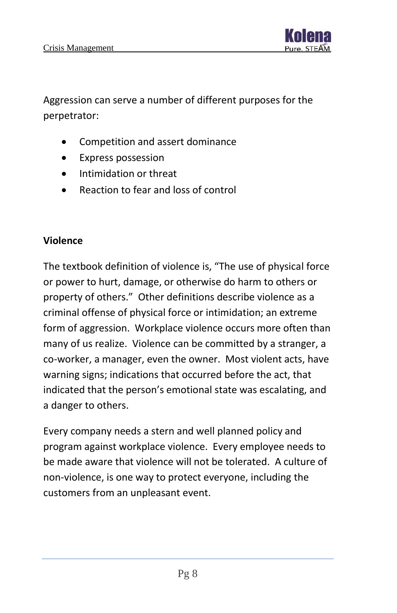

Aggression can serve a number of different purposes for the perpetrator:

- Competition and assert dominance
- Express possession
- Intimidation or threat
- Reaction to fear and loss of control

#### **Violence**

The textbook definition of violence is, "The use of physical force or power to hurt, damage, or otherwise do harm to others or property of others." Other definitions describe violence as a criminal offense of physical force or intimidation; an extreme form of aggression. Workplace violence occurs more often than many of us realize. Violence can be committed by a stranger, a co-worker, a manager, even the owner. Most violent acts, have warning signs; indications that occurred before the act, that indicated that the person's emotional state was escalating, and a danger to others.

Every company needs a stern and well planned policy and program against workplace violence. Every employee needs to be made aware that violence will not be tolerated. A culture of non-violence, is one way to protect everyone, including the customers from an unpleasant event.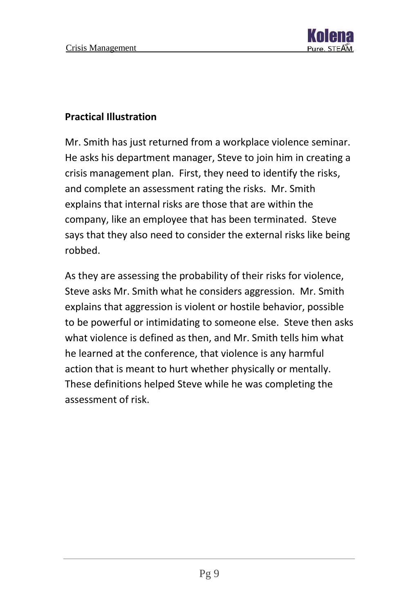

#### **Practical Illustration**

Mr. Smith has just returned from a workplace violence seminar. He asks his department manager, Steve to join him in creating a crisis management plan. First, they need to identify the risks, and complete an assessment rating the risks. Mr. Smith explains that internal risks are those that are within the company, like an employee that has been terminated. Steve says that they also need to consider the external risks like being robbed.

As they are assessing the probability of their risks for violence, Steve asks Mr. Smith what he considers aggression. Mr. Smith explains that aggression is violent or hostile behavior, possible to be powerful or intimidating to someone else. Steve then asks what violence is defined as then, and Mr. Smith tells him what he learned at the conference, that violence is any harmful action that is meant to hurt whether physically or mentally. These definitions helped Steve while he was completing the assessment of risk.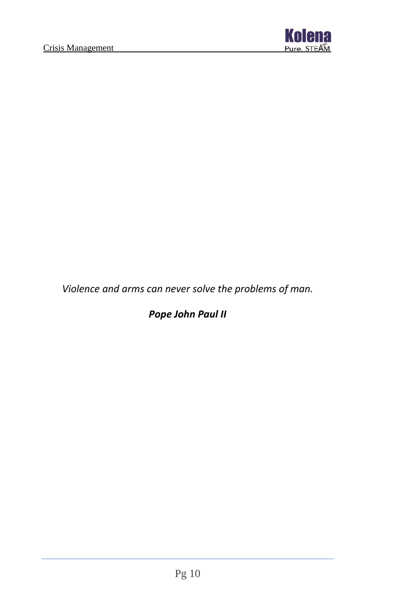

*Violence and arms can never solve the problems of man.*

*Pope John Paul II*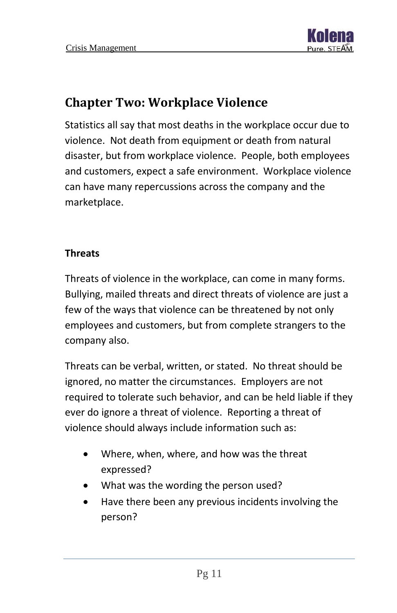

# <span id="page-11-0"></span>**Chapter Two: Workplace Violence**

Statistics all say that most deaths in the workplace occur due to violence. Not death from equipment or death from natural disaster, but from workplace violence. People, both employees and customers, expect a safe environment. Workplace violence can have many repercussions across the company and the marketplace.

#### **Threats**

Threats of violence in the workplace, can come in many forms. Bullying, mailed threats and direct threats of violence are just a few of the ways that violence can be threatened by not only employees and customers, but from complete strangers to the company also.

Threats can be verbal, written, or stated. No threat should be ignored, no matter the circumstances. Employers are not required to tolerate such behavior, and can be held liable if they ever do ignore a threat of violence. Reporting a threat of violence should always include information such as:

- Where, when, where, and how was the threat expressed?
- What was the wording the person used?
- Have there been any previous incidents involving the person?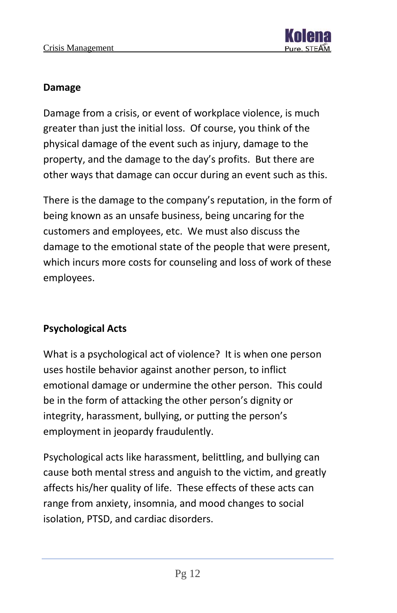

#### **Damage**

Damage from a crisis, or event of workplace violence, is much greater than just the initial loss. Of course, you think of the physical damage of the event such as injury, damage to the property, and the damage to the day's profits. But there are other ways that damage can occur during an event such as this.

There is the damage to the company's reputation, in the form of being known as an unsafe business, being uncaring for the customers and employees, etc. We must also discuss the damage to the emotional state of the people that were present, which incurs more costs for counseling and loss of work of these employees.

#### **Psychological Acts**

What is a psychological act of violence? It is when one person uses hostile behavior against another person, to inflict emotional damage or undermine the other person. This could be in the form of attacking the other person's dignity or integrity, harassment, bullying, or putting the person's employment in jeopardy fraudulently.

Psychological acts like harassment, belittling, and bullying can cause both mental stress and anguish to the victim, and greatly affects his/her quality of life. These effects of these acts can range from anxiety, insomnia, and mood changes to social isolation, PTSD, and cardiac disorders.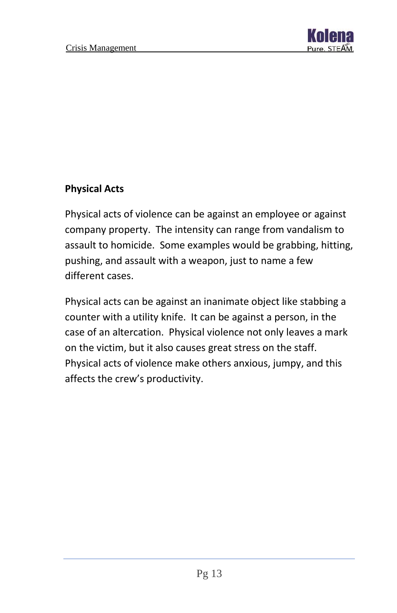

#### **Physical Acts**

Physical acts of violence can be against an employee or against company property. The intensity can range from vandalism to assault to homicide. Some examples would be grabbing, hitting, pushing, and assault with a weapon, just to name a few different cases.

Physical acts can be against an inanimate object like stabbing a counter with a utility knife. It can be against a person, in the case of an altercation. Physical violence not only leaves a mark on the victim, but it also causes great stress on the staff. Physical acts of violence make others anxious, jumpy, and this affects the crew's productivity.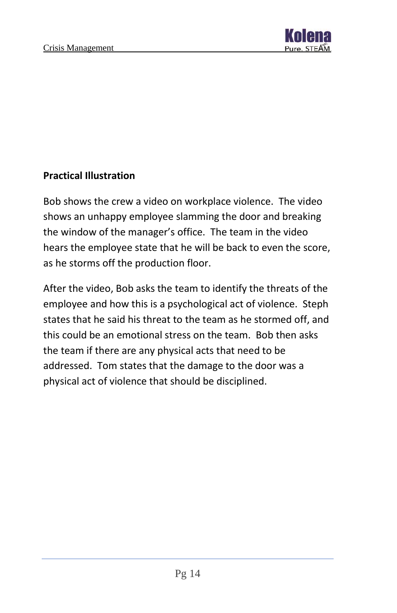

#### **Practical Illustration**

Bob shows the crew a video on workplace violence. The video shows an unhappy employee slamming the door and breaking the window of the manager's office. The team in the video hears the employee state that he will be back to even the score, as he storms off the production floor.

After the video, Bob asks the team to identify the threats of the employee and how this is a psychological act of violence. Steph states that he said his threat to the team as he stormed off, and this could be an emotional stress on the team. Bob then asks the team if there are any physical acts that need to be addressed. Tom states that the damage to the door was a physical act of violence that should be disciplined.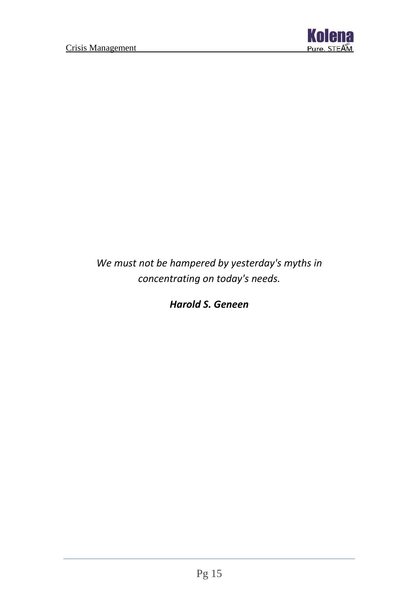

*We must not be hampered by yesterday's myths in concentrating on today's needs.*

*Harold S. Geneen*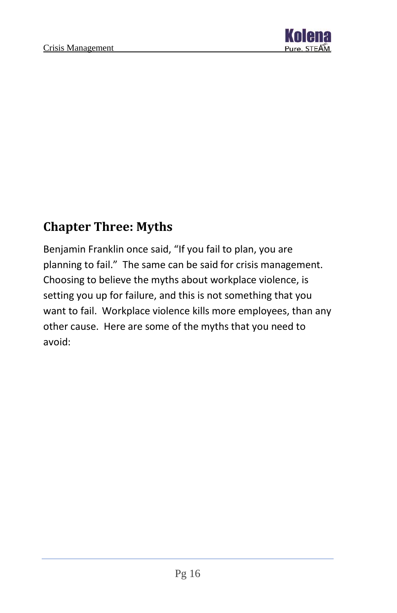

# <span id="page-16-0"></span>**Chapter Three: Myths**

Benjamin Franklin once said, "If you fail to plan, you are planning to fail." The same can be said for crisis management. Choosing to believe the myths about workplace violence, is setting you up for failure, and this is not something that you want to fail. Workplace violence kills more employees, than any other cause. Here are some of the myths that you need to avoid: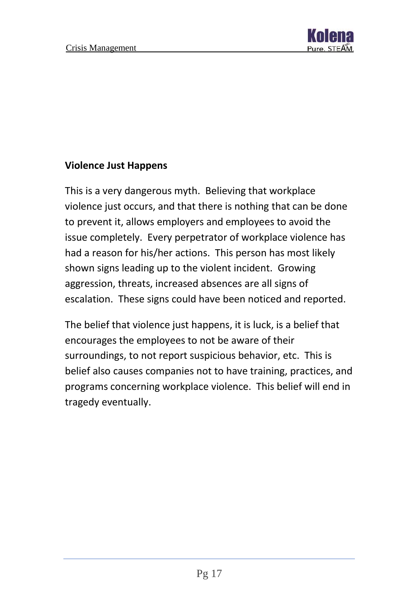

#### **Violence Just Happens**

This is a very dangerous myth. Believing that workplace violence just occurs, and that there is nothing that can be done to prevent it, allows employers and employees to avoid the issue completely. Every perpetrator of workplace violence has had a reason for his/her actions. This person has most likely shown signs leading up to the violent incident. Growing aggression, threats, increased absences are all signs of escalation. These signs could have been noticed and reported.

The belief that violence just happens, it is luck, is a belief that encourages the employees to not be aware of their surroundings, to not report suspicious behavior, etc. This is belief also causes companies not to have training, practices, and programs concerning workplace violence. This belief will end in tragedy eventually.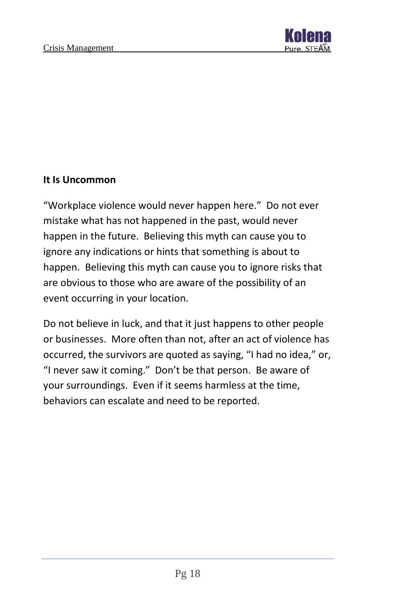

#### **It Is Uncommon**

"Workplace violence would never happen here." Do not ever mistake what has not happened in the past, would never happen in the future. Believing this myth can cause you to ignore any indications or hints that something is about to happen. Believing this myth can cause you to ignore risks that are obvious to those who are aware of the possibility of an event occurring in your location.

Do not believe in luck, and that it just happens to other people or businesses. More often than not, after an act of violence has occurred, the survivors are quoted as saying, "I had no idea," or, "I never saw it coming." Don't be that person. Be aware of your surroundings. Even if it seems harmless at the time, behaviors can escalate and need to be reported.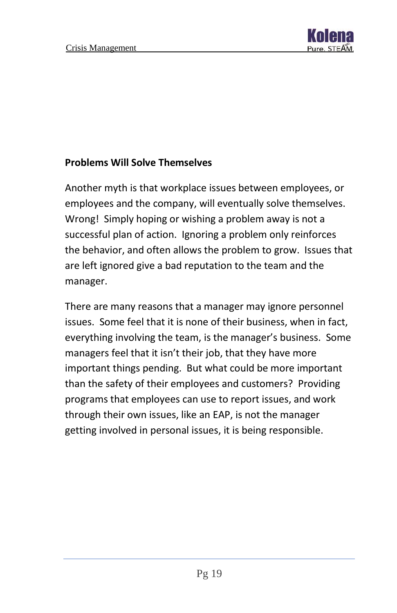

#### **Problems Will Solve Themselves**

Another myth is that workplace issues between employees, or employees and the company, will eventually solve themselves. Wrong! Simply hoping or wishing a problem away is not a successful plan of action. Ignoring a problem only reinforces the behavior, and often allows the problem to grow. Issues that are left ignored give a bad reputation to the team and the manager.

There are many reasons that a manager may ignore personnel issues. Some feel that it is none of their business, when in fact, everything involving the team, is the manager's business. Some managers feel that it isn't their job, that they have more important things pending. But what could be more important than the safety of their employees and customers? Providing programs that employees can use to report issues, and work through their own issues, like an EAP, is not the manager getting involved in personal issues, it is being responsible.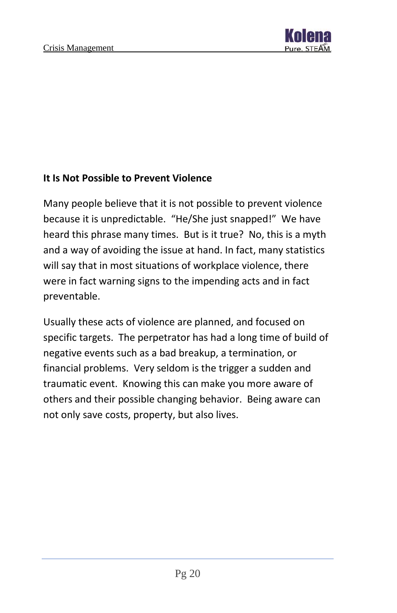

#### **It Is Not Possible to Prevent Violence**

Many people believe that it is not possible to prevent violence because it is unpredictable. "He/She just snapped!" We have heard this phrase many times. But is it true? No, this is a myth and a way of avoiding the issue at hand. In fact, many statistics will say that in most situations of workplace violence, there were in fact warning signs to the impending acts and in fact preventable.

Usually these acts of violence are planned, and focused on specific targets. The perpetrator has had a long time of build of negative events such as a bad breakup, a termination, or financial problems. Very seldom is the trigger a sudden and traumatic event. Knowing this can make you more aware of others and their possible changing behavior. Being aware can not only save costs, property, but also lives.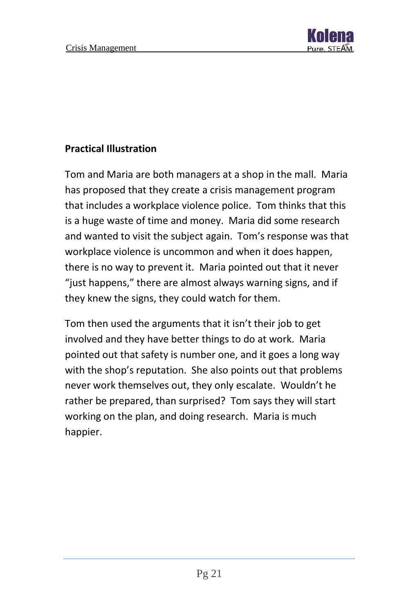

#### **Practical Illustration**

Tom and Maria are both managers at a shop in the mall. Maria has proposed that they create a crisis management program that includes a workplace violence police. Tom thinks that this is a huge waste of time and money. Maria did some research and wanted to visit the subject again. Tom's response was that workplace violence is uncommon and when it does happen, there is no way to prevent it. Maria pointed out that it never "just happens," there are almost always warning signs, and if they knew the signs, they could watch for them.

Tom then used the arguments that it isn't their job to get involved and they have better things to do at work. Maria pointed out that safety is number one, and it goes a long way with the shop's reputation. She also points out that problems never work themselves out, they only escalate. Wouldn't he rather be prepared, than surprised? Tom says they will start working on the plan, and doing research. Maria is much happier.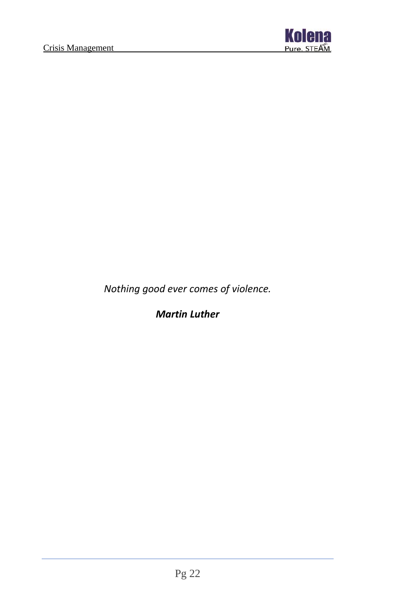

*Nothing good ever comes of violence.*

#### *Martin Luther*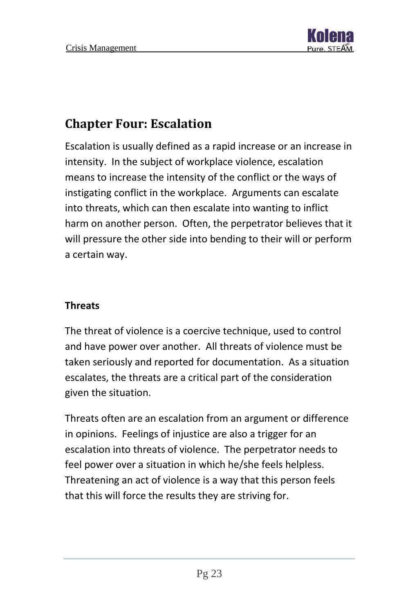

# <span id="page-23-0"></span>**Chapter Four: Escalation**

Escalation is usually defined as a rapid increase or an increase in intensity. In the subject of workplace violence, escalation means to increase the intensity of the conflict or the ways of instigating conflict in the workplace. Arguments can escalate into threats, which can then escalate into wanting to inflict harm on another person. Often, the perpetrator believes that it will pressure the other side into bending to their will or perform a certain way.

#### **Threats**

The threat of violence is a coercive technique, used to control and have power over another. All threats of violence must be taken seriously and reported for documentation. As a situation escalates, the threats are a critical part of the consideration given the situation.

Threats often are an escalation from an argument or difference in opinions. Feelings of injustice are also a trigger for an escalation into threats of violence. The perpetrator needs to feel power over a situation in which he/she feels helpless. Threatening an act of violence is a way that this person feels that this will force the results they are striving for.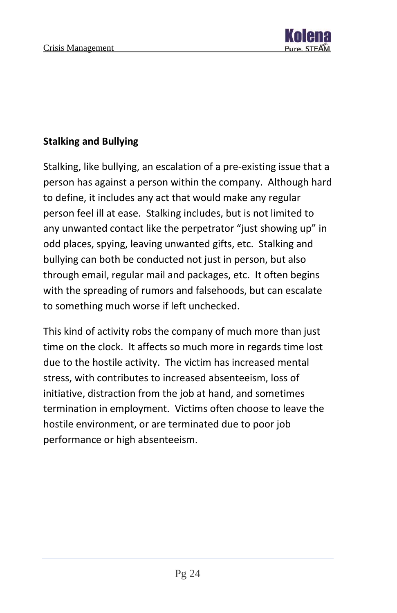

#### **Stalking and Bullying**

Stalking, like bullying, an escalation of a pre-existing issue that a person has against a person within the company. Although hard to define, it includes any act that would make any regular person feel ill at ease. Stalking includes, but is not limited to any unwanted contact like the perpetrator "just showing up" in odd places, spying, leaving unwanted gifts, etc. Stalking and bullying can both be conducted not just in person, but also through email, regular mail and packages, etc. It often begins with the spreading of rumors and falsehoods, but can escalate to something much worse if left unchecked.

This kind of activity robs the company of much more than just time on the clock. It affects so much more in regards time lost due to the hostile activity. The victim has increased mental stress, with contributes to increased absenteeism, loss of initiative, distraction from the job at hand, and sometimes termination in employment. Victims often choose to leave the hostile environment, or are terminated due to poor job performance or high absenteeism.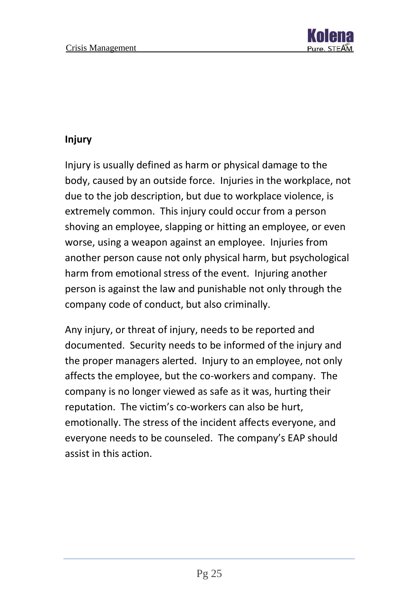

#### **Injury**

Injury is usually defined as harm or physical damage to the body, caused by an outside force. Injuries in the workplace, not due to the job description, but due to workplace violence, is extremely common. This injury could occur from a person shoving an employee, slapping or hitting an employee, or even worse, using a weapon against an employee. Injuries from another person cause not only physical harm, but psychological harm from emotional stress of the event. Injuring another person is against the law and punishable not only through the company code of conduct, but also criminally.

Any injury, or threat of injury, needs to be reported and documented. Security needs to be informed of the injury and the proper managers alerted. Injury to an employee, not only affects the employee, but the co-workers and company. The company is no longer viewed as safe as it was, hurting their reputation. The victim's co-workers can also be hurt, emotionally. The stress of the incident affects everyone, and everyone needs to be counseled. The company's EAP should assist in this action.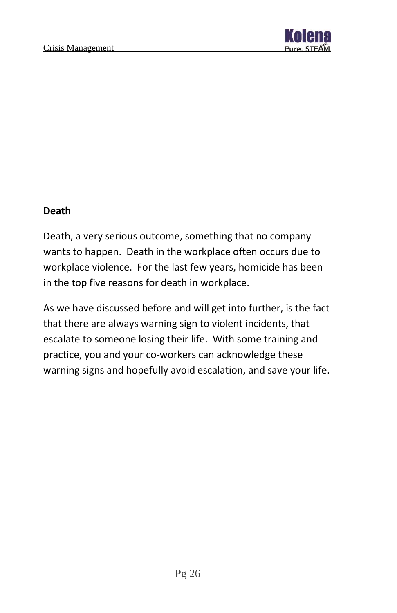

#### **Death**

Death, a very serious outcome, something that no company wants to happen. Death in the workplace often occurs due to workplace violence. For the last few years, homicide has been in the top five reasons for death in workplace.

As we have discussed before and will get into further, is the fact that there are always warning sign to violent incidents, that escalate to someone losing their life. With some training and practice, you and your co-workers can acknowledge these warning signs and hopefully avoid escalation, and save your life.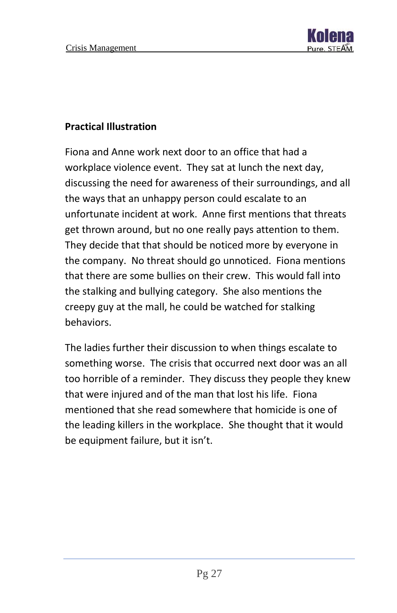

#### **Practical Illustration**

Fiona and Anne work next door to an office that had a workplace violence event. They sat at lunch the next day, discussing the need for awareness of their surroundings, and all the ways that an unhappy person could escalate to an unfortunate incident at work. Anne first mentions that threats get thrown around, but no one really pays attention to them. They decide that that should be noticed more by everyone in the company. No threat should go unnoticed. Fiona mentions that there are some bullies on their crew. This would fall into the stalking and bullying category. She also mentions the creepy guy at the mall, he could be watched for stalking behaviors.

The ladies further their discussion to when things escalate to something worse. The crisis that occurred next door was an all too horrible of a reminder. They discuss they people they knew that were injured and of the man that lost his life. Fiona mentioned that she read somewhere that homicide is one of the leading killers in the workplace. She thought that it would be equipment failure, but it isn't.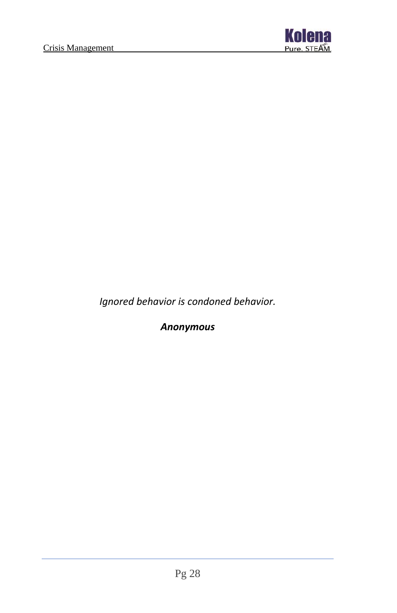

*Ignored behavior is condoned behavior.*

*Anonymous*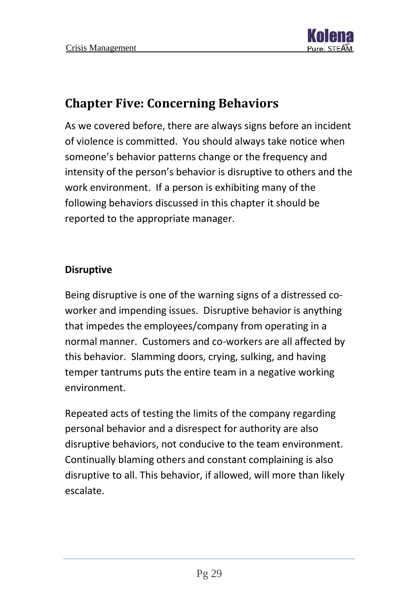

# <span id="page-29-0"></span>**Chapter Five: Concerning Behaviors**

As we covered before, there are always signs before an incident of violence is committed. You should always take notice when someone's behavior patterns change or the frequency and intensity of the person's behavior is disruptive to others and the work environment. If a person is exhibiting many of the following behaviors discussed in this chapter it should be reported to the appropriate manager.

#### **Disruptive**

Being disruptive is one of the warning signs of a distressed coworker and impending issues. Disruptive behavior is anything that impedes the employees/company from operating in a normal manner. Customers and co-workers are all affected by this behavior. Slamming doors, crying, sulking, and having temper tantrums puts the entire team in a negative working environment.

Repeated acts of testing the limits of the company regarding personal behavior and a disrespect for authority are also disruptive behaviors, not conducive to the team environment. Continually blaming others and constant complaining is also disruptive to all. This behavior, if allowed, will more than likely escalate.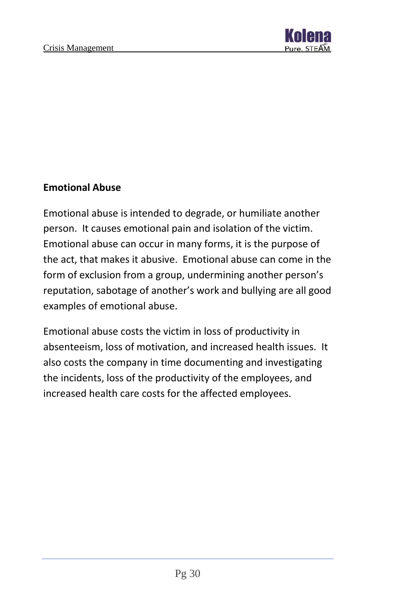

#### **Emotional Abuse**

Emotional abuse is intended to degrade, or humiliate another person. It causes emotional pain and isolation of the victim. Emotional abuse can occur in many forms, it is the purpose of the act, that makes it abusive. Emotional abuse can come in the form of exclusion from a group, undermining another person's reputation, sabotage of another's work and bullying are all good examples of emotional abuse.

Emotional abuse costs the victim in loss of productivity in absenteeism, loss of motivation, and increased health issues. It also costs the company in time documenting and investigating the incidents, loss of the productivity of the employees, and increased health care costs for the affected employees.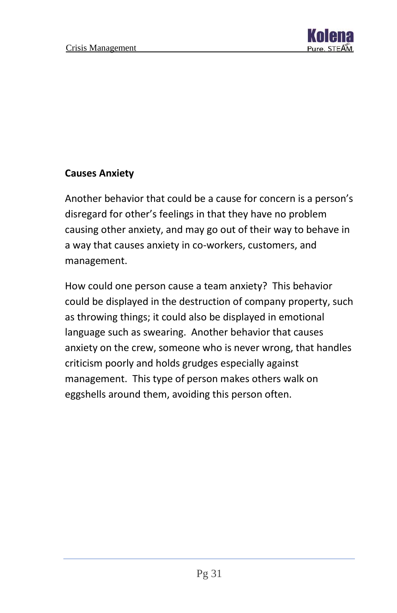

#### **Causes Anxiety**

Another behavior that could be a cause for concern is a person's disregard for other's feelings in that they have no problem causing other anxiety, and may go out of their way to behave in a way that causes anxiety in co-workers, customers, and management.

How could one person cause a team anxiety? This behavior could be displayed in the destruction of company property, such as throwing things; it could also be displayed in emotional language such as swearing. Another behavior that causes anxiety on the crew, someone who is never wrong, that handles criticism poorly and holds grudges especially against management. This type of person makes others walk on eggshells around them, avoiding this person often.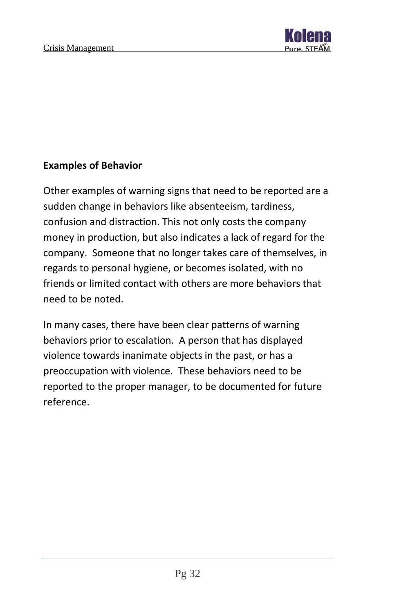

#### **Examples of Behavior**

Other examples of warning signs that need to be reported are a sudden change in behaviors like absenteeism, tardiness, confusion and distraction. This not only costs the company money in production, but also indicates a lack of regard for the company. Someone that no longer takes care of themselves, in regards to personal hygiene, or becomes isolated, with no friends or limited contact with others are more behaviors that need to be noted.

In many cases, there have been clear patterns of warning behaviors prior to escalation. A person that has displayed violence towards inanimate objects in the past, or has a preoccupation with violence. These behaviors need to be reported to the proper manager, to be documented for future reference.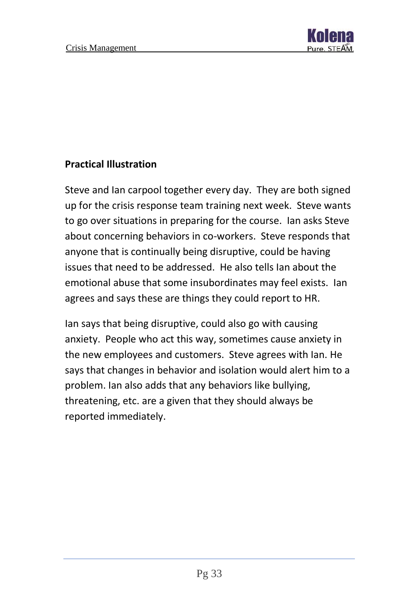

#### **Practical Illustration**

Steve and Ian carpool together every day. They are both signed up for the crisis response team training next week. Steve wants to go over situations in preparing for the course. Ian asks Steve about concerning behaviors in co-workers. Steve responds that anyone that is continually being disruptive, could be having issues that need to be addressed. He also tells Ian about the emotional abuse that some insubordinates may feel exists. Ian agrees and says these are things they could report to HR.

Ian says that being disruptive, could also go with causing anxiety. People who act this way, sometimes cause anxiety in the new employees and customers. Steve agrees with Ian. He says that changes in behavior and isolation would alert him to a problem. Ian also adds that any behaviors like bullying, threatening, etc. are a given that they should always be reported immediately.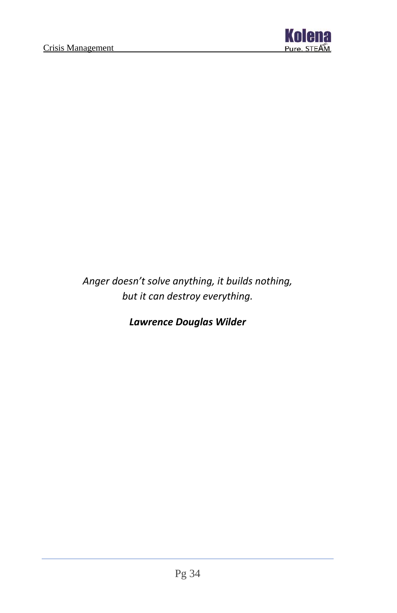

*Anger doesn't solve anything, it builds nothing, but it can destroy everything.*

*Lawrence Douglas Wilder*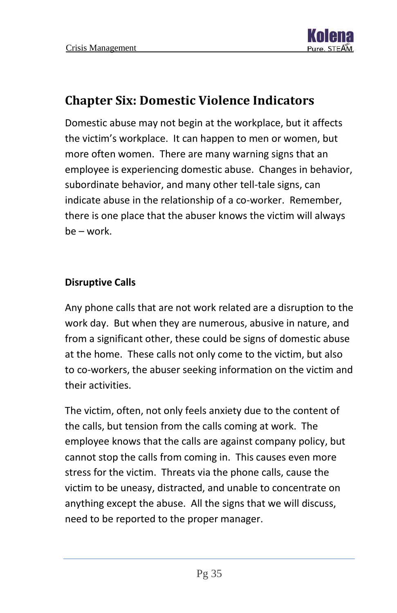

## <span id="page-35-0"></span>**Chapter Six: Domestic Violence Indicators**

Domestic abuse may not begin at the workplace, but it affects the victim's workplace. It can happen to men or women, but more often women. There are many warning signs that an employee is experiencing domestic abuse. Changes in behavior, subordinate behavior, and many other tell-tale signs, can indicate abuse in the relationship of a co-worker. Remember, there is one place that the abuser knows the victim will always be – work.

#### **Disruptive Calls**

Any phone calls that are not work related are a disruption to the work day. But when they are numerous, abusive in nature, and from a significant other, these could be signs of domestic abuse at the home. These calls not only come to the victim, but also to co-workers, the abuser seeking information on the victim and their activities.

The victim, often, not only feels anxiety due to the content of the calls, but tension from the calls coming at work. The employee knows that the calls are against company policy, but cannot stop the calls from coming in. This causes even more stress for the victim. Threats via the phone calls, cause the victim to be uneasy, distracted, and unable to concentrate on anything except the abuse. All the signs that we will discuss, need to be reported to the proper manager.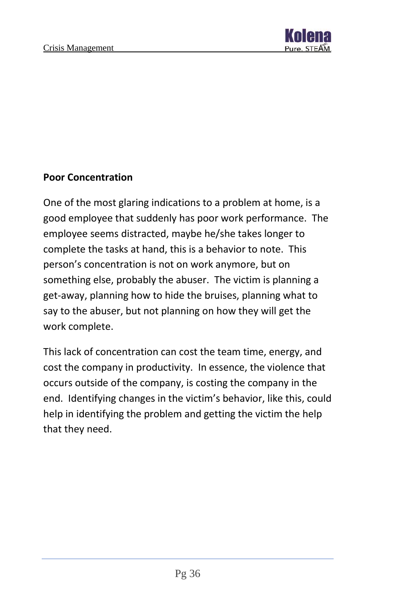

#### **Poor Concentration**

One of the most glaring indications to a problem at home, is a good employee that suddenly has poor work performance. The employee seems distracted, maybe he/she takes longer to complete the tasks at hand, this is a behavior to note. This person's concentration is not on work anymore, but on something else, probably the abuser. The victim is planning a get-away, planning how to hide the bruises, planning what to say to the abuser, but not planning on how they will get the work complete.

This lack of concentration can cost the team time, energy, and cost the company in productivity. In essence, the violence that occurs outside of the company, is costing the company in the end. Identifying changes in the victim's behavior, like this, could help in identifying the problem and getting the victim the help that they need.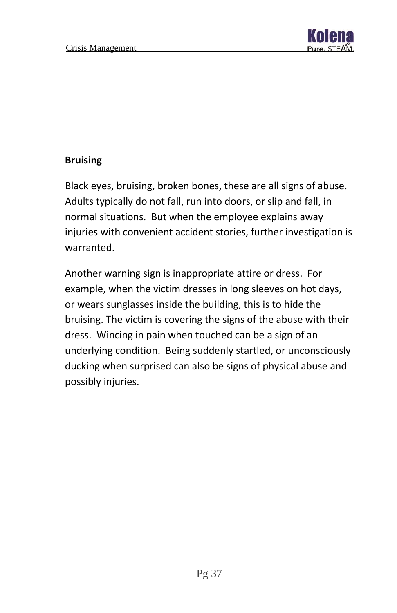

#### **Bruising**

Black eyes, bruising, broken bones, these are all signs of abuse. Adults typically do not fall, run into doors, or slip and fall, in normal situations. But when the employee explains away injuries with convenient accident stories, further investigation is warranted.

Another warning sign is inappropriate attire or dress. For example, when the victim dresses in long sleeves on hot days, or wears sunglasses inside the building, this is to hide the bruising. The victim is covering the signs of the abuse with their dress. Wincing in pain when touched can be a sign of an underlying condition. Being suddenly startled, or unconsciously ducking when surprised can also be signs of physical abuse and possibly injuries.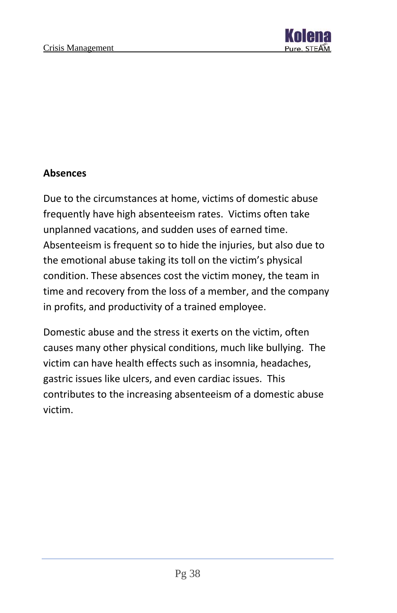

#### **Absences**

Due to the circumstances at home, victims of domestic abuse frequently have high absenteeism rates. Victims often take unplanned vacations, and sudden uses of earned time. Absenteeism is frequent so to hide the injuries, but also due to the emotional abuse taking its toll on the victim's physical condition. These absences cost the victim money, the team in time and recovery from the loss of a member, and the company in profits, and productivity of a trained employee.

Domestic abuse and the stress it exerts on the victim, often causes many other physical conditions, much like bullying. The victim can have health effects such as insomnia, headaches, gastric issues like ulcers, and even cardiac issues. This contributes to the increasing absenteeism of a domestic abuse victim.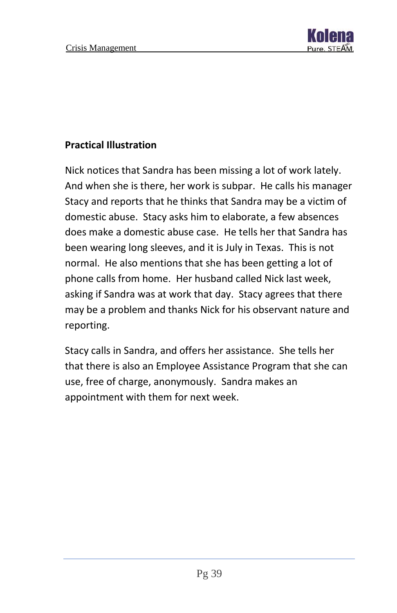

#### **Practical Illustration**

Nick notices that Sandra has been missing a lot of work lately. And when she is there, her work is subpar. He calls his manager Stacy and reports that he thinks that Sandra may be a victim of domestic abuse. Stacy asks him to elaborate, a few absences does make a domestic abuse case. He tells her that Sandra has been wearing long sleeves, and it is July in Texas. This is not normal. He also mentions that she has been getting a lot of phone calls from home. Her husband called Nick last week, asking if Sandra was at work that day. Stacy agrees that there may be a problem and thanks Nick for his observant nature and reporting.

Stacy calls in Sandra, and offers her assistance. She tells her that there is also an Employee Assistance Program that she can use, free of charge, anonymously. Sandra makes an appointment with them for next week.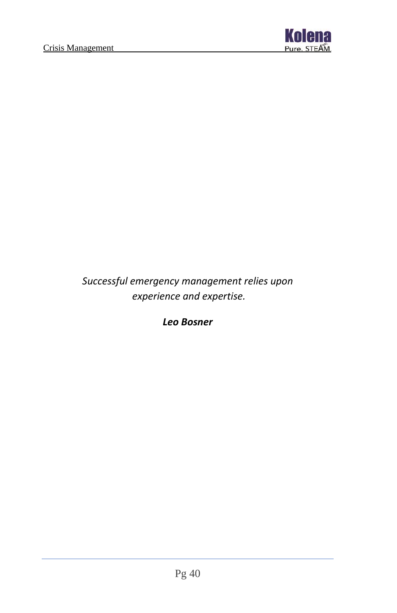

*Successful emergency management relies upon experience and expertise.*

*Leo Bosner*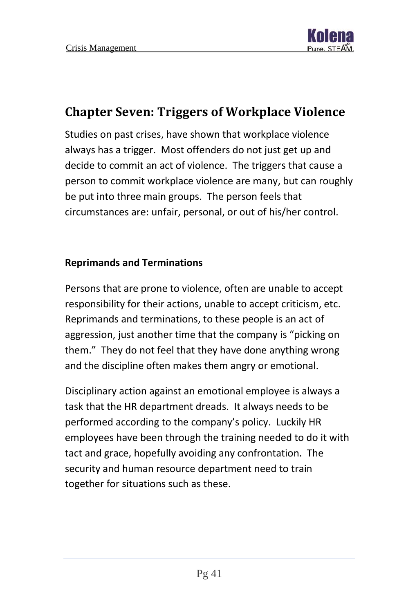

# <span id="page-41-0"></span>**Chapter Seven: Triggers of Workplace Violence**

Studies on past crises, have shown that workplace violence always has a trigger. Most offenders do not just get up and decide to commit an act of violence. The triggers that cause a person to commit workplace violence are many, but can roughly be put into three main groups. The person feels that circumstances are: unfair, personal, or out of his/her control.

#### **Reprimands and Terminations**

Persons that are prone to violence, often are unable to accept responsibility for their actions, unable to accept criticism, etc. Reprimands and terminations, to these people is an act of aggression, just another time that the company is "picking on them." They do not feel that they have done anything wrong and the discipline often makes them angry or emotional.

Disciplinary action against an emotional employee is always a task that the HR department dreads. It always needs to be performed according to the company's policy. Luckily HR employees have been through the training needed to do it with tact and grace, hopefully avoiding any confrontation. The security and human resource department need to train together for situations such as these.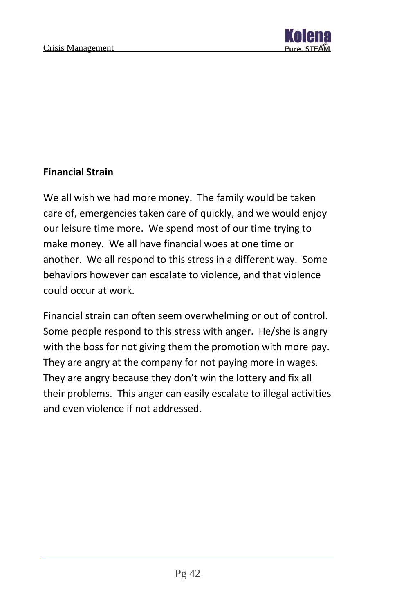

#### **Financial Strain**

We all wish we had more money. The family would be taken care of, emergencies taken care of quickly, and we would enjoy our leisure time more. We spend most of our time trying to make money. We all have financial woes at one time or another. We all respond to this stress in a different way. Some behaviors however can escalate to violence, and that violence could occur at work.

Financial strain can often seem overwhelming or out of control. Some people respond to this stress with anger. He/she is angry with the boss for not giving them the promotion with more pay. They are angry at the company for not paying more in wages. They are angry because they don't win the lottery and fix all their problems. This anger can easily escalate to illegal activities and even violence if not addressed.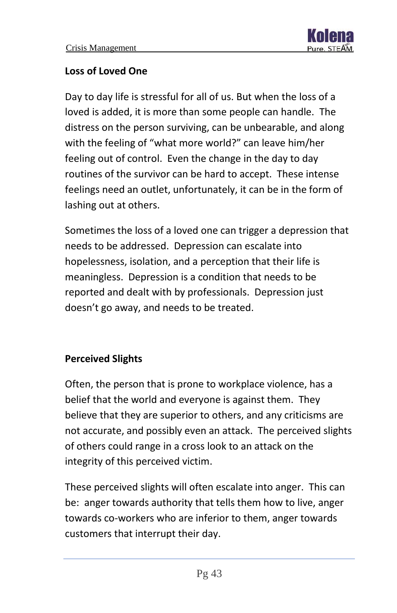#### **Loss of Loved One**

Day to day life is stressful for all of us. But when the loss of a loved is added, it is more than some people can handle. The distress on the person surviving, can be unbearable, and along with the feeling of "what more world?" can leave him/her feeling out of control. Even the change in the day to day routines of the survivor can be hard to accept. These intense feelings need an outlet, unfortunately, it can be in the form of lashing out at others.

Sometimes the loss of a loved one can trigger a depression that needs to be addressed. Depression can escalate into hopelessness, isolation, and a perception that their life is meaningless. Depression is a condition that needs to be reported and dealt with by professionals. Depression just doesn't go away, and needs to be treated.

#### **Perceived Slights**

Often, the person that is prone to workplace violence, has a belief that the world and everyone is against them. They believe that they are superior to others, and any criticisms are not accurate, and possibly even an attack. The perceived slights of others could range in a cross look to an attack on the integrity of this perceived victim.

These perceived slights will often escalate into anger. This can be: anger towards authority that tells them how to live, anger towards co-workers who are inferior to them, anger towards customers that interrupt their day.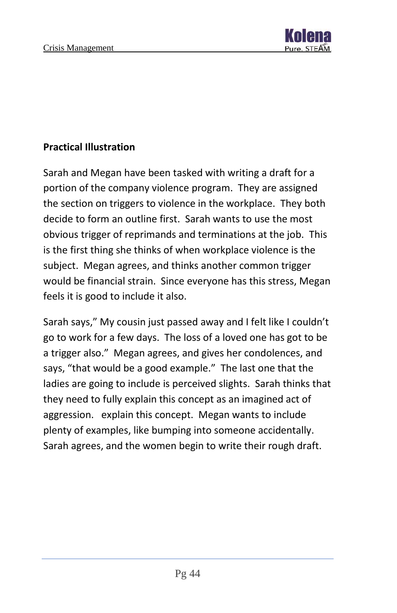

#### **Practical Illustration**

Sarah and Megan have been tasked with writing a draft for a portion of the company violence program. They are assigned the section on triggers to violence in the workplace. They both decide to form an outline first. Sarah wants to use the most obvious trigger of reprimands and terminations at the job. This is the first thing she thinks of when workplace violence is the subject. Megan agrees, and thinks another common trigger would be financial strain. Since everyone has this stress, Megan feels it is good to include it also.

Sarah says," My cousin just passed away and I felt like I couldn't go to work for a few days. The loss of a loved one has got to be a trigger also." Megan agrees, and gives her condolences, and says, "that would be a good example." The last one that the ladies are going to include is perceived slights. Sarah thinks that they need to fully explain this concept as an imagined act of aggression. explain this concept. Megan wants to include plenty of examples, like bumping into someone accidentally. Sarah agrees, and the women begin to write their rough draft.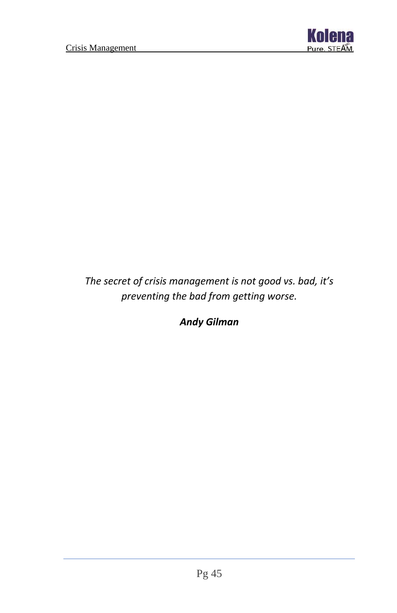

*The secret of crisis management is not good vs. bad, it's preventing the bad from getting worse.*

*Andy Gilman*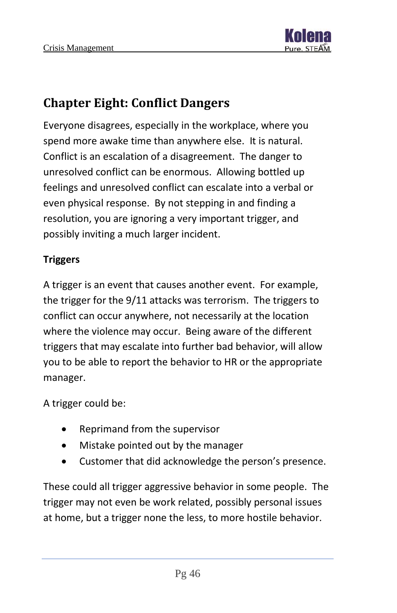

# <span id="page-46-0"></span>**Chapter Eight: Conflict Dangers**

Everyone disagrees, especially in the workplace, where you spend more awake time than anywhere else. It is natural. Conflict is an escalation of a disagreement. The danger to unresolved conflict can be enormous. Allowing bottled up feelings and unresolved conflict can escalate into a verbal or even physical response. By not stepping in and finding a resolution, you are ignoring a very important trigger, and possibly inviting a much larger incident.

#### **Triggers**

A trigger is an event that causes another event. For example, the trigger for the 9/11 attacks was terrorism. The triggers to conflict can occur anywhere, not necessarily at the location where the violence may occur. Being aware of the different triggers that may escalate into further bad behavior, will allow you to be able to report the behavior to HR or the appropriate manager.

A trigger could be:

- Reprimand from the supervisor
- Mistake pointed out by the manager
- Customer that did acknowledge the person's presence.

These could all trigger aggressive behavior in some people. The trigger may not even be work related, possibly personal issues at home, but a trigger none the less, to more hostile behavior.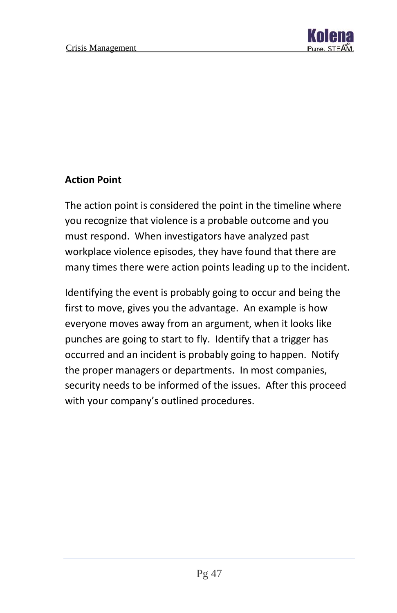

#### **Action Point**

The action point is considered the point in the timeline where you recognize that violence is a probable outcome and you must respond. When investigators have analyzed past workplace violence episodes, they have found that there are many times there were action points leading up to the incident.

Identifying the event is probably going to occur and being the first to move, gives you the advantage. An example is how everyone moves away from an argument, when it looks like punches are going to start to fly. Identify that a trigger has occurred and an incident is probably going to happen. Notify the proper managers or departments. In most companies, security needs to be informed of the issues. After this proceed with your company's outlined procedures.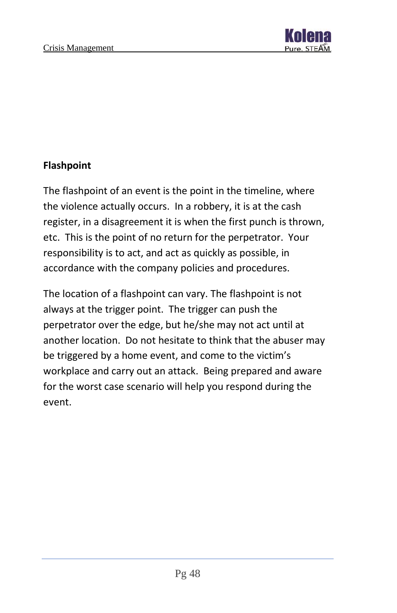

#### **Flashpoint**

The flashpoint of an event is the point in the timeline, where the violence actually occurs. In a robbery, it is at the cash register, in a disagreement it is when the first punch is thrown, etc. This is the point of no return for the perpetrator. Your responsibility is to act, and act as quickly as possible, in accordance with the company policies and procedures.

The location of a flashpoint can vary. The flashpoint is not always at the trigger point. The trigger can push the perpetrator over the edge, but he/she may not act until at another location. Do not hesitate to think that the abuser may be triggered by a home event, and come to the victim's workplace and carry out an attack. Being prepared and aware for the worst case scenario will help you respond during the event.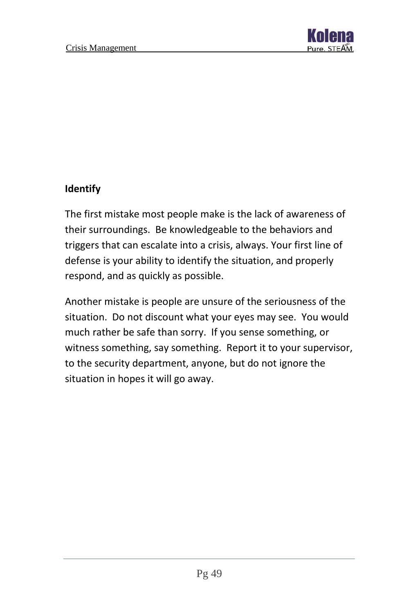

#### **Identify**

The first mistake most people make is the lack of awareness of their surroundings. Be knowledgeable to the behaviors and triggers that can escalate into a crisis, always. Your first line of defense is your ability to identify the situation, and properly respond, and as quickly as possible.

Another mistake is people are unsure of the seriousness of the situation. Do not discount what your eyes may see. You would much rather be safe than sorry. If you sense something, or witness something, say something. Report it to your supervisor, to the security department, anyone, but do not ignore the situation in hopes it will go away.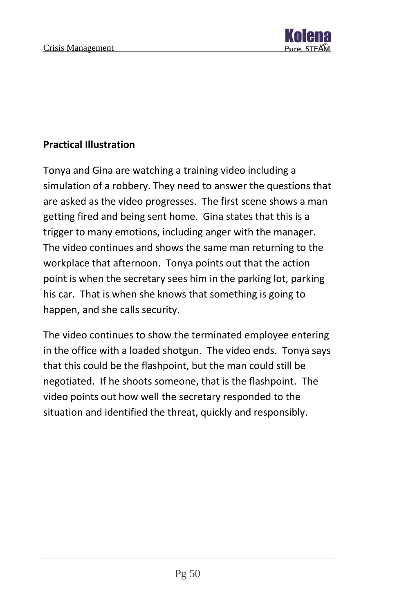

#### **Practical Illustration**

Tonya and Gina are watching a training video including a simulation of a robbery. They need to answer the questions that are asked as the video progresses. The first scene shows a man getting fired and being sent home. Gina states that this is a trigger to many emotions, including anger with the manager. The video continues and shows the same man returning to the workplace that afternoon. Tonya points out that the action point is when the secretary sees him in the parking lot, parking his car. That is when she knows that something is going to happen, and she calls security.

The video continues to show the terminated employee entering in the office with a loaded shotgun. The video ends. Tonya says that this could be the flashpoint, but the man could still be negotiated. If he shoots someone, that is the flashpoint. The video points out how well the secretary responded to the situation and identified the threat, quickly and responsibly.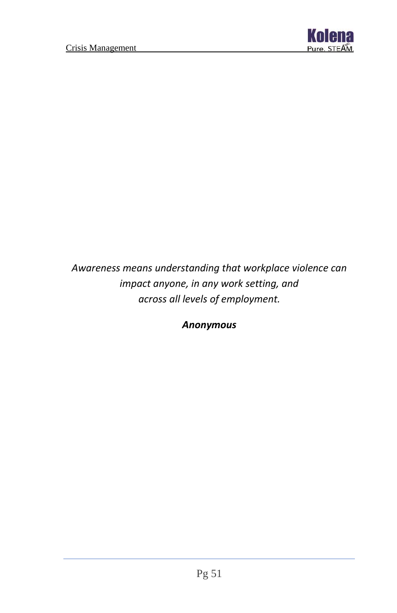

*Awareness means understanding that workplace violence can impact anyone, in any work setting, and across all levels of employment.*

*Anonymous*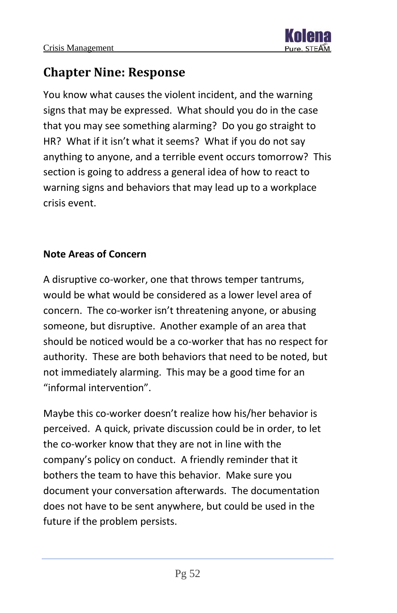

# <span id="page-52-0"></span>**Chapter Nine: Response**

You know what causes the violent incident, and the warning signs that may be expressed. What should you do in the case that you may see something alarming? Do you go straight to HR? What if it isn't what it seems? What if you do not say anything to anyone, and a terrible event occurs tomorrow? This section is going to address a general idea of how to react to warning signs and behaviors that may lead up to a workplace crisis event.

#### **Note Areas of Concern**

A disruptive co-worker, one that throws temper tantrums, would be what would be considered as a lower level area of concern. The co-worker isn't threatening anyone, or abusing someone, but disruptive. Another example of an area that should be noticed would be a co-worker that has no respect for authority. These are both behaviors that need to be noted, but not immediately alarming. This may be a good time for an "informal intervention".

Maybe this co-worker doesn't realize how his/her behavior is perceived. A quick, private discussion could be in order, to let the co-worker know that they are not in line with the company's policy on conduct. A friendly reminder that it bothers the team to have this behavior. Make sure you document your conversation afterwards. The documentation does not have to be sent anywhere, but could be used in the future if the problem persists.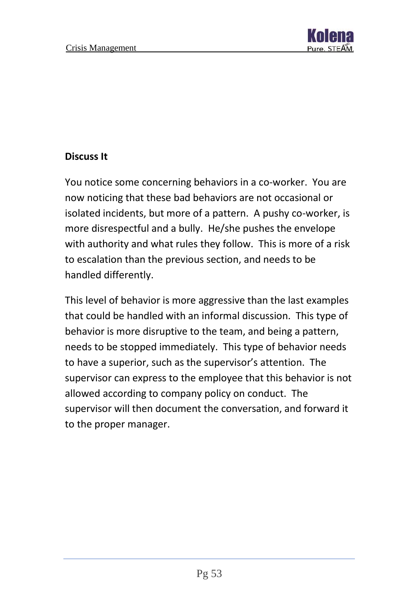

#### **Discuss It**

You notice some concerning behaviors in a co-worker. You are now noticing that these bad behaviors are not occasional or isolated incidents, but more of a pattern. A pushy co-worker, is more disrespectful and a bully. He/she pushes the envelope with authority and what rules they follow. This is more of a risk to escalation than the previous section, and needs to be handled differently.

This level of behavior is more aggressive than the last examples that could be handled with an informal discussion. This type of behavior is more disruptive to the team, and being a pattern, needs to be stopped immediately. This type of behavior needs to have a superior, such as the supervisor's attention. The supervisor can express to the employee that this behavior is not allowed according to company policy on conduct. The supervisor will then document the conversation, and forward it to the proper manager.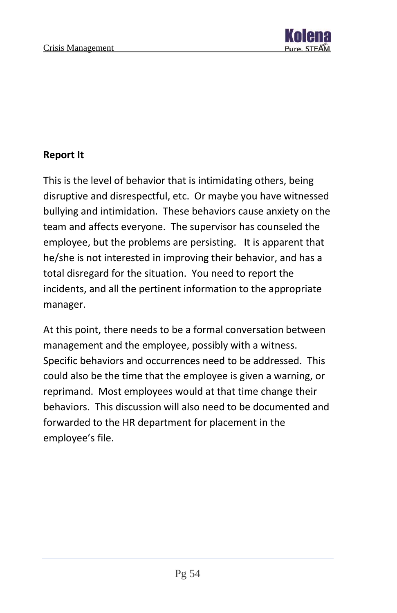

#### **Report It**

This is the level of behavior that is intimidating others, being disruptive and disrespectful, etc. Or maybe you have witnessed bullying and intimidation. These behaviors cause anxiety on the team and affects everyone. The supervisor has counseled the employee, but the problems are persisting. It is apparent that he/she is not interested in improving their behavior, and has a total disregard for the situation. You need to report the incidents, and all the pertinent information to the appropriate manager.

At this point, there needs to be a formal conversation between management and the employee, possibly with a witness. Specific behaviors and occurrences need to be addressed. This could also be the time that the employee is given a warning, or reprimand. Most employees would at that time change their behaviors. This discussion will also need to be documented and forwarded to the HR department for placement in the employee's file.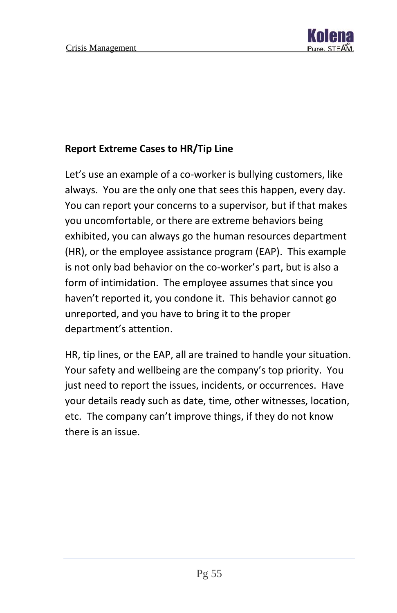

#### **Report Extreme Cases to HR/Tip Line**

Let's use an example of a co-worker is bullying customers, like always. You are the only one that sees this happen, every day. You can report your concerns to a supervisor, but if that makes you uncomfortable, or there are extreme behaviors being exhibited, you can always go the human resources department (HR), or the employee assistance program (EAP). This example is not only bad behavior on the co-worker's part, but is also a form of intimidation. The employee assumes that since you haven't reported it, you condone it. This behavior cannot go unreported, and you have to bring it to the proper department's attention.

HR, tip lines, or the EAP, all are trained to handle your situation. Your safety and wellbeing are the company's top priority. You just need to report the issues, incidents, or occurrences. Have your details ready such as date, time, other witnesses, location, etc. The company can't improve things, if they do not know there is an issue.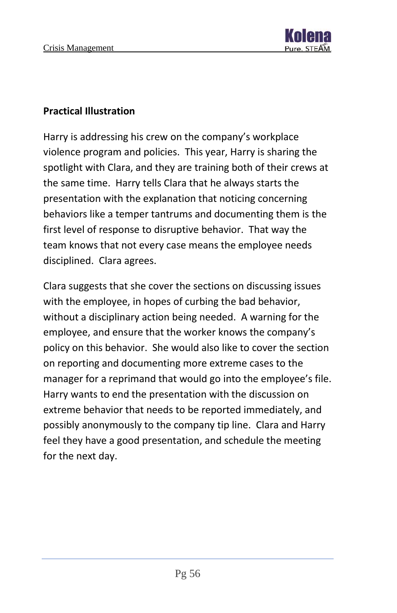#### **Practical Illustration**

Harry is addressing his crew on the company's workplace violence program and policies. This year, Harry is sharing the spotlight with Clara, and they are training both of their crews at the same time. Harry tells Clara that he always starts the presentation with the explanation that noticing concerning behaviors like a temper tantrums and documenting them is the first level of response to disruptive behavior. That way the team knows that not every case means the employee needs disciplined. Clara agrees.

Clara suggests that she cover the sections on discussing issues with the employee, in hopes of curbing the bad behavior, without a disciplinary action being needed. A warning for the employee, and ensure that the worker knows the company's policy on this behavior. She would also like to cover the section on reporting and documenting more extreme cases to the manager for a reprimand that would go into the employee's file. Harry wants to end the presentation with the discussion on extreme behavior that needs to be reported immediately, and possibly anonymously to the company tip line. Clara and Harry feel they have a good presentation, and schedule the meeting for the next day.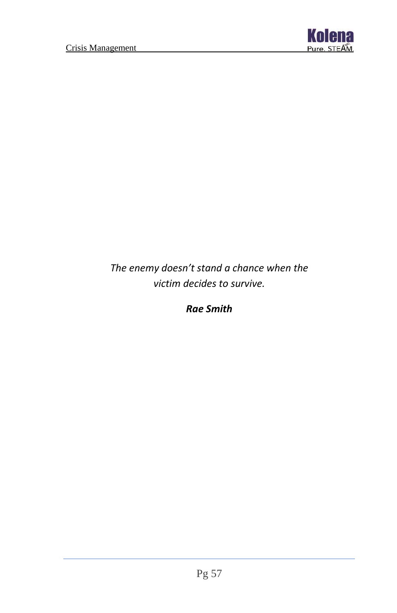

*The enemy doesn't stand a chance when the victim decides to survive.*

*Rae Smith*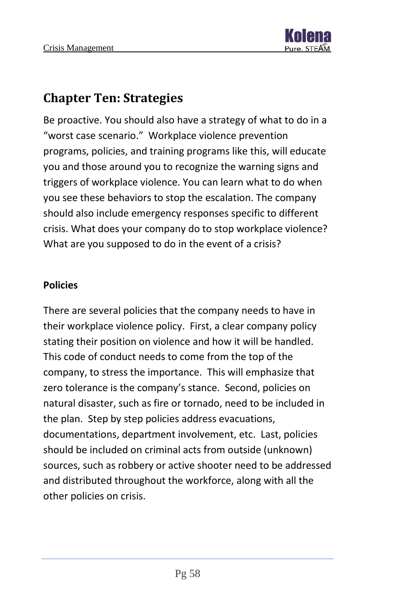# <span id="page-58-0"></span>**Chapter Ten: Strategies**

Be proactive. You should also have a strategy of what to do in a "worst case scenario." Workplace violence prevention programs, policies, and training programs like this, will educate you and those around you to recognize the warning signs and triggers of workplace violence. You can learn what to do when you see these behaviors to stop the escalation. The company should also include emergency responses specific to different crisis. What does your company do to stop workplace violence? What are you supposed to do in the event of a crisis?

#### **Policies**

There are several policies that the company needs to have in their workplace violence policy. First, a clear company policy stating their position on violence and how it will be handled. This code of conduct needs to come from the top of the company, to stress the importance. This will emphasize that zero tolerance is the company's stance. Second, policies on natural disaster, such as fire or tornado, need to be included in the plan. Step by step policies address evacuations, documentations, department involvement, etc. Last, policies should be included on criminal acts from outside (unknown) sources, such as robbery or active shooter need to be addressed and distributed throughout the workforce, along with all the other policies on crisis.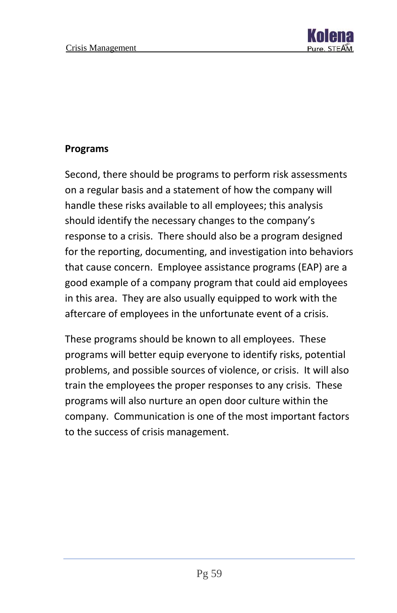

#### **Programs**

Second, there should be programs to perform risk assessments on a regular basis and a statement of how the company will handle these risks available to all employees; this analysis should identify the necessary changes to the company's response to a crisis. There should also be a program designed for the reporting, documenting, and investigation into behaviors that cause concern. Employee assistance programs (EAP) are a good example of a company program that could aid employees in this area. They are also usually equipped to work with the aftercare of employees in the unfortunate event of a crisis.

These programs should be known to all employees. These programs will better equip everyone to identify risks, potential problems, and possible sources of violence, or crisis. It will also train the employees the proper responses to any crisis. These programs will also nurture an open door culture within the company. Communication is one of the most important factors to the success of crisis management.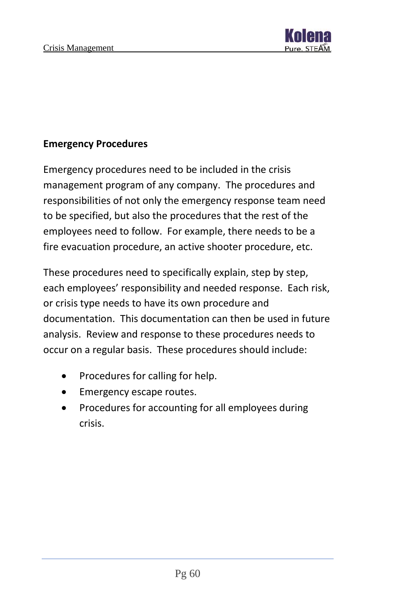

#### **Emergency Procedures**

Emergency procedures need to be included in the crisis management program of any company. The procedures and responsibilities of not only the emergency response team need to be specified, but also the procedures that the rest of the employees need to follow. For example, there needs to be a fire evacuation procedure, an active shooter procedure, etc.

These procedures need to specifically explain, step by step, each employees' responsibility and needed response. Each risk, or crisis type needs to have its own procedure and documentation. This documentation can then be used in future analysis. Review and response to these procedures needs to occur on a regular basis. These procedures should include:

- Procedures for calling for help.
- Emergency escape routes.
- Procedures for accounting for all employees during crisis.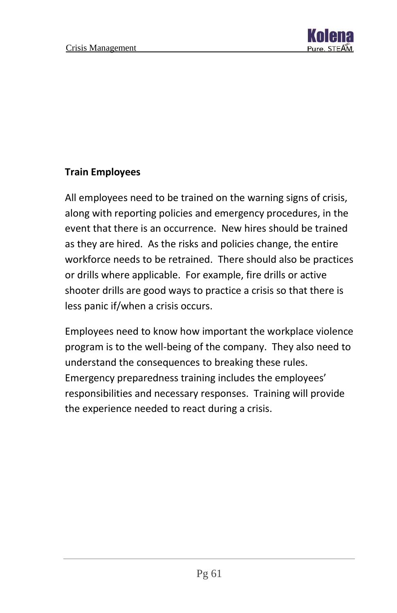

#### **Train Employees**

All employees need to be trained on the warning signs of crisis, along with reporting policies and emergency procedures, in the event that there is an occurrence. New hires should be trained as they are hired. As the risks and policies change, the entire workforce needs to be retrained. There should also be practices or drills where applicable. For example, fire drills or active shooter drills are good ways to practice a crisis so that there is less panic if/when a crisis occurs.

Employees need to know how important the workplace violence program is to the well-being of the company. They also need to understand the consequences to breaking these rules. Emergency preparedness training includes the employees' responsibilities and necessary responses. Training will provide the experience needed to react during a crisis.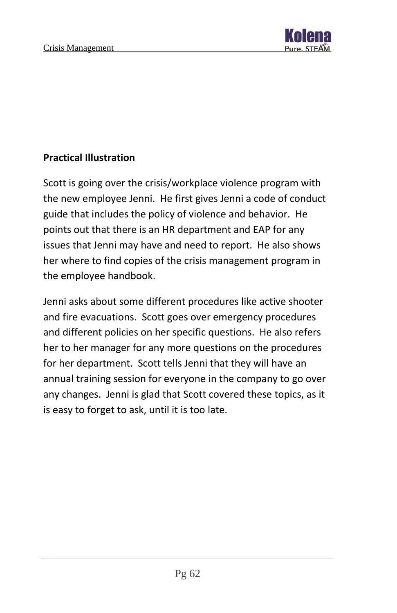

#### **Practical Illustration**

Scott is going over the crisis/workplace violence program with the new employee Jenni. He first gives Jenni a code of conduct guide that includes the policy of violence and behavior. He points out that there is an HR department and EAP for any issues that Jenni may have and need to report. He also shows her where to find copies of the crisis management program in the employee handbook.

Jenni asks about some different procedures like active shooter and fire evacuations. Scott goes over emergency procedures and different policies on her specific questions. He also refers her to her manager for any more questions on the procedures for her department. Scott tells Jenni that they will have an annual training session for everyone in the company to go over any changes. Jenni is glad that Scott covered these topics, as it is easy to forget to ask, until it is too late.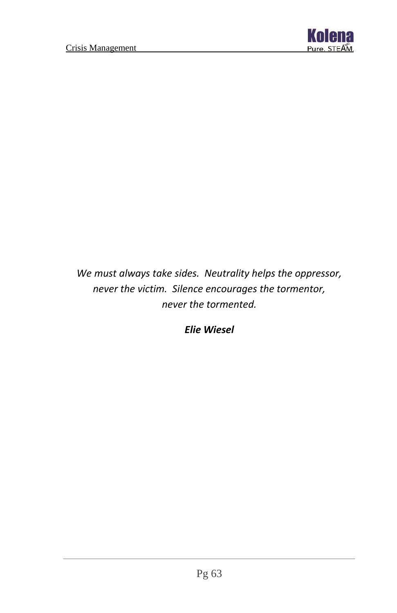

*We must always take sides. Neutrality helps the oppressor, never the victim. Silence encourages the tormentor, never the tormented.*

*Elie Wiesel*